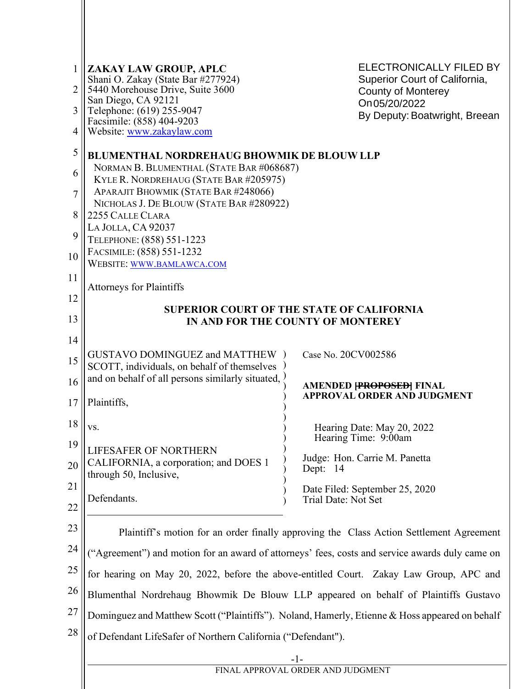| 1  | ZAKAY LAW GROUP, APLC<br>Shani O. Zakay (State Bar #277924)                                     | ELECTRONICALLY FILED BY<br>Superior Court of California,                                |  |
|----|-------------------------------------------------------------------------------------------------|-----------------------------------------------------------------------------------------|--|
| 2  | 5440 Morehouse Drive, Suite 3600<br>San Diego, CA 92121                                         | <b>County of Monterey</b>                                                               |  |
| 3  | Telephone: (619) 255-9047                                                                       | On 05/20/2022<br>By Deputy: Boatwright, Breean                                          |  |
| 4  | Facsimile: (858) 404-9203<br>Website: www.zakaylaw.com                                          |                                                                                         |  |
| 5  | <b>BLUMENTHAL NORDREHAUG BHOWMIK DE BLOUW LLP</b>                                               |                                                                                         |  |
| 6  | NORMAN B. BLUMENTHAL (STATE BAR #068687)                                                        |                                                                                         |  |
| 7  | KYLE R. NORDREHAUG (STATE BAR #205975)<br>APARAJIT BHOWMIK (STATE BAR #248066)                  |                                                                                         |  |
|    | NICHOLAS J. DE BLOUW (STATE BAR #280922)                                                        |                                                                                         |  |
| 8  | 2255 CALLE CLARA<br>LA JOLLA, CA 92037                                                          |                                                                                         |  |
| 9  | TELEPHONE: (858) 551-1223                                                                       |                                                                                         |  |
| 10 | FACSIMILE: (858) 551-1232<br>WEBSITE: WWW.BAMLAWCA.COM                                          |                                                                                         |  |
| 11 | <b>Attorneys for Plaintiffs</b>                                                                 |                                                                                         |  |
| 12 |                                                                                                 |                                                                                         |  |
| 13 | <b>SUPERIOR COURT OF THE STATE OF CALIFORNIA</b><br>IN AND FOR THE COUNTY OF MONTEREY           |                                                                                         |  |
| 14 |                                                                                                 |                                                                                         |  |
| 15 | <b>GUSTAVO DOMINGUEZ and MATTHEW</b> )                                                          | Case No. 20CV002586                                                                     |  |
|    | SCOTT, individuals, on behalf of themselves<br>and on behalf of all persons similarly situated, |                                                                                         |  |
| 16 |                                                                                                 | <b>AMENDED FROPOSED FINAL</b><br><b>APPROVAL ORDER AND JUDGMENT</b>                     |  |
| 17 | Plaintiffs,                                                                                     |                                                                                         |  |
| 18 | VS.                                                                                             | Hearing Date: May 20, 2022                                                              |  |
| 19 | LIFESAFER OF NORTHERN                                                                           | Hearing Time: 9:00am                                                                    |  |
| 20 | CALIFORNIA, a corporation; and DOES 1<br>through 50, Inclusive,                                 | Judge: Hon. Carrie M. Panetta<br>Dept: 14                                               |  |
| 21 |                                                                                                 | Date Filed: September 25, 2020                                                          |  |
| 22 | Defendants.                                                                                     | Trial Date: Not Set                                                                     |  |
| 23 |                                                                                                 | Plaintiff's motion for an order finally approving the Class Action Settlement Agreement |  |
| 24 | "Agreement") and motion for an award of attorneys' fees, costs and service awards duly came on  |                                                                                         |  |
| 25 | for hearing on May 20, 2022, before the above-entitled Court. Zakay Law Group, APC and          |                                                                                         |  |
| 26 | Blumenthal Nordrehaug Bhowmik De Blouw LLP appeared on behalf of Plaintiffs Gustavo             |                                                                                         |  |
| 27 | Dominguez and Matthew Scott ("Plaintiffs"). Noland, Hamerly, Etienne & Hoss appeared on behalf  |                                                                                         |  |
| 28 | of Defendant LifeSafer of Northern California ("Defendant").                                    |                                                                                         |  |
|    | $-1-$                                                                                           |                                                                                         |  |
|    | FINAL APPROVAL ORDER AND JUDGMENT                                                               |                                                                                         |  |
|    |                                                                                                 |                                                                                         |  |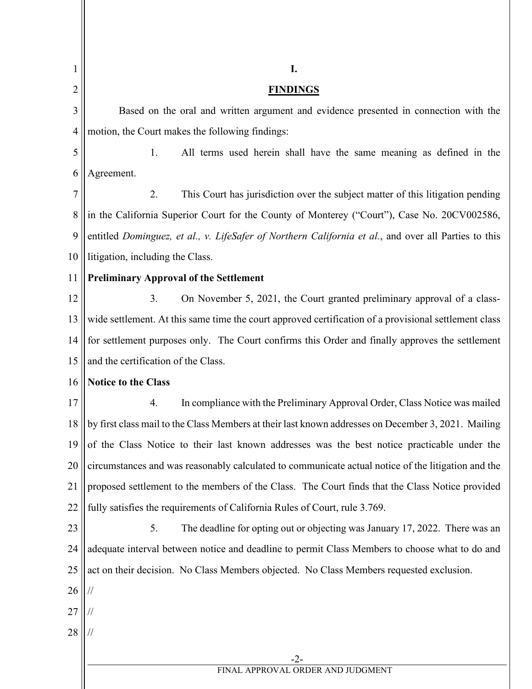| $\mathbf{1}$   | I.                                                                                                        |  |  |
|----------------|-----------------------------------------------------------------------------------------------------------|--|--|
| $\overline{2}$ | <b>FINDINGS</b>                                                                                           |  |  |
| 3              | Based on the oral and written argument and evidence presented in connection with the                      |  |  |
| $\overline{4}$ | motion, the Court makes the following findings:                                                           |  |  |
| 5              | 1.<br>All terms used herein shall have the same meaning as defined in the                                 |  |  |
| 6              | Agreement.                                                                                                |  |  |
| 7              | 2.<br>This Court has jurisdiction over the subject matter of this litigation pending                      |  |  |
| $\,8\,$        | in the California Superior Court for the County of Monterey ("Court"), Case No. 20CV002586,               |  |  |
| 9              | entitled Dominguez, et al., v. LifeSafer of Northern California et al., and over all Parties to this      |  |  |
| 10             | litigation, including the Class.                                                                          |  |  |
| 11             | <b>Preliminary Approval of the Settlement</b>                                                             |  |  |
| 12             | 3.<br>On November 5, 2021, the Court granted preliminary approval of a class-                             |  |  |
| 13             | wide settlement. At this same time the court approved certification of a provisional settlement class     |  |  |
| 14             | for settlement purposes only. The Court confirms this Order and finally approves the settlement           |  |  |
| 15             | and the certification of the Class.                                                                       |  |  |
| 16             | Notice to the Class                                                                                       |  |  |
| 17             | In compliance with the Preliminary Approval Order, Class Notice was mailed<br>4.                          |  |  |
|                | 18    by first class mail to the Class Members at their last known addresses on December 3, 2021. Mailing |  |  |
| 19             | of the Class Notice to their last known addresses was the best notice practicable under the               |  |  |
| 20             | circumstances and was reasonably calculated to communicate actual notice of the litigation and the        |  |  |
| 21             | proposed settlement to the members of the Class. The Court finds that the Class Notice provided           |  |  |
| 22             | fully satisfies the requirements of California Rules of Court, rule 3.769.                                |  |  |
| 23             | 5.<br>The deadline for opting out or objecting was January 17, 2022. There was an                         |  |  |
| 24             | adequate interval between notice and deadline to permit Class Members to choose what to do and            |  |  |
| 25             | act on their decision. No Class Members objected. No Class Members requested exclusion.                   |  |  |
| 26             | $\frac{1}{2}$                                                                                             |  |  |
| 27             |                                                                                                           |  |  |
| 28             |                                                                                                           |  |  |
|                | $-2-$                                                                                                     |  |  |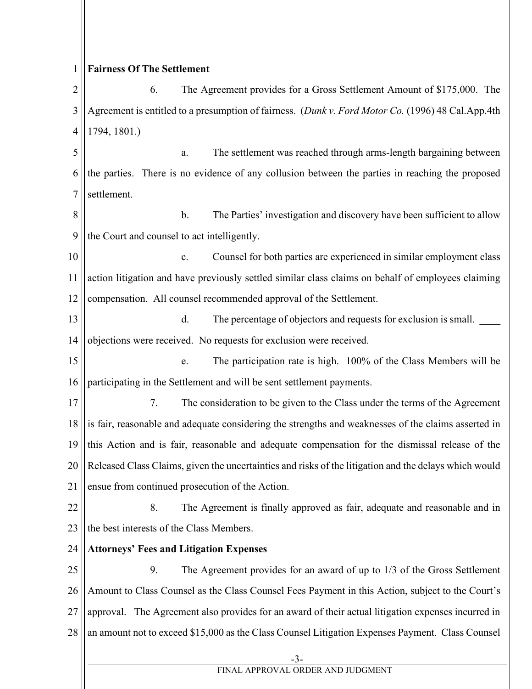## 1 **Fairness Of The Settlement**

2 3 4 6. The Agreement provides for a Gross Settlement Amount of \$175,000. The Agreement is entitled to a presumption of fairness. (*Dunk v. Ford Motor Co.* (1996) 48 Cal.App.4th 1794, 1801.)

5 6 7 a. The settlement was reached through arms-length bargaining between the parties. There is no evidence of any collusion between the parties in reaching the proposed settlement.

8 9 b. The Parties' investigation and discovery have been sufficient to allow the Court and counsel to act intelligently.

10 11 12 c. Counsel for both parties are experienced in similar employment class action litigation and have previously settled similar class claims on behalf of employees claiming compensation. All counsel recommended approval of the Settlement.

13 14 d. The percentage of objectors and requests for exclusion is small. objections were received. No requests for exclusion were received.

15 16 e. The participation rate is high. 100% of the Class Members will be participating in the Settlement and will be sent settlement payments.

17 18 19 20 21 7. The consideration to be given to the Class under the terms of the Agreement is fair, reasonable and adequate considering the strengths and weaknesses of the claims asserted in this Action and is fair, reasonable and adequate compensation for the dismissal release of the Released Class Claims, given the uncertainties and risks of the litigation and the delays which would ensue from continued prosecution of the Action.

22 23 8. The Agreement is finally approved as fair, adequate and reasonable and in the best interests of the Class Members.

## 24 **Attorneys' Fees and Litigation Expenses**

25 26 27 28 9. The Agreement provides for an award of up to 1/3 of the Gross Settlement Amount to Class Counsel as the Class Counsel Fees Payment in this Action, subject to the Court's approval. The Agreement also provides for an award of their actual litigation expenses incurred in an amount not to exceed \$15,000 as the Class Counsel Litigation Expenses Payment. Class Counsel

-3-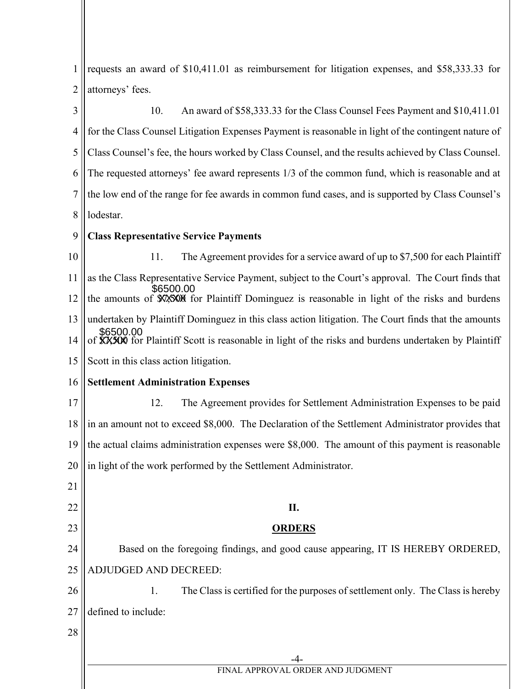1 2 3 4 5 6 7 8 9 10 11 12 13 14 15 16 17 18 19 20 21 22 23 24 25 26 27 28 -4- FINAL APPROVAL ORDER AND JUDGMENT requests an award of \$10,411.01 as reimbursement for litigation expenses, and \$58,333.33 for attorneys' fees. 10. An award of \$58,333.33 for the Class Counsel Fees Payment and \$10,411.01 for the Class Counsel Litigation Expenses Payment is reasonable in light of the contingent nature of Class Counsel's fee, the hours worked by Class Counsel, and the results achieved by Class Counsel. The requested attorneys' fee award represents 1/3 of the common fund, which is reasonable and at the low end of the range for fee awards in common fund cases, and is supported by Class Counsel's lodestar. **Class Representative Service Payments**  11. The Agreement provides for a service award of up to \$7,500 for each Plaintiff as the Class Representative Service Payment, subject to the Court's approval. The Court finds that the amounts of **\$7,5000** for Plaintiff Dominguez is reasonable in light of the risks and burdens undertaken by Plaintiff Dominguez in this class action litigation. The Court finds that the amounts of **XXXXX** for Plaintiff Scott is reasonable in light of the risks and burdens undertaken by Plaintiff Scott in this class action litigation. **Settlement Administration Expenses** 12. The Agreement provides for Settlement Administration Expenses to be paid in an amount not to exceed \$8,000. The Declaration of the Settlement Administrator provides that the actual claims administration expenses were \$8,000. The amount of this payment is reasonable in light of the work performed by the Settlement Administrator. **II. ORDERS** Based on the foregoing findings, and good cause appearing, IT IS HEREBY ORDERED, ADJUDGED AND DECREED: 1. The Class is certified for the purposes of settlement only. The Class is hereby defined to include: \$6500.00 \$6500.00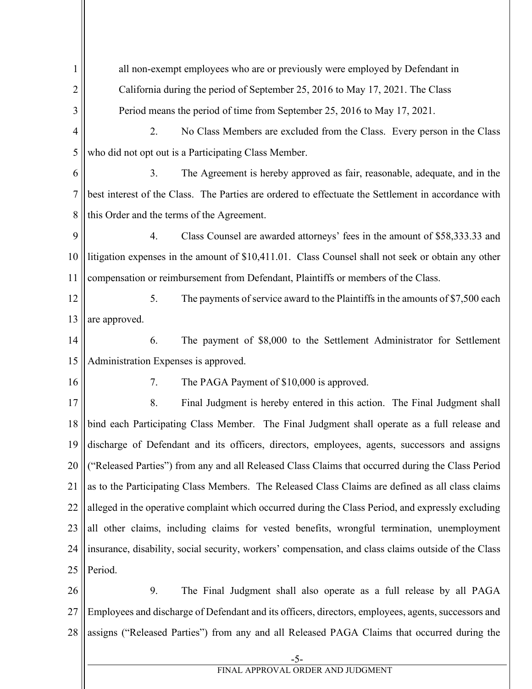1 2 3 4 5 6 7 8 9 10 11 12 13 14 15 16 17 18 19 20 21 22 23 24 25 26 27 28 -5 all non-exempt employees who are or previously were employed by Defendant in California during the period of September 25, 2016 to May 17, 2021. The Class Period means the period of time from September 25, 2016 to May 17, 2021. 2. No Class Members are excluded from the Class. Every person in the Class who did not opt out is a Participating Class Member. 3. The Agreement is hereby approved as fair, reasonable, adequate, and in the best interest of the Class. The Parties are ordered to effectuate the Settlement in accordance with this Order and the terms of the Agreement. 4. Class Counsel are awarded attorneys' fees in the amount of \$58,333.33 and litigation expenses in the amount of \$10,411.01. Class Counsel shall not seek or obtain any other compensation or reimbursement from Defendant, Plaintiffs or members of the Class. 5. The payments of service award to the Plaintiffs in the amounts of \$7,500 each are approved. 6. The payment of \$8,000 to the Settlement Administrator for Settlement Administration Expenses is approved. 7. The PAGA Payment of \$10,000 is approved. 8. Final Judgment is hereby entered in this action. The Final Judgment shall bind each Participating Class Member. The Final Judgment shall operate as a full release and discharge of Defendant and its officers, directors, employees, agents, successors and assigns ("Released Parties") from any and all Released Class Claims that occurred during the Class Period as to the Participating Class Members. The Released Class Claims are defined as all class claims alleged in the operative complaint which occurred during the Class Period, and expressly excluding all other claims, including claims for vested benefits, wrongful termination, unemployment insurance, disability, social security, workers' compensation, and class claims outside of the Class Period. 9. The Final Judgment shall also operate as a full release by all PAGA Employees and discharge of Defendant and its officers, directors, employees, agents, successors and assigns ("Released Parties") from any and all Released PAGA Claims that occurred during the

FINAL APPROVAL ORDER AND JUDGMENT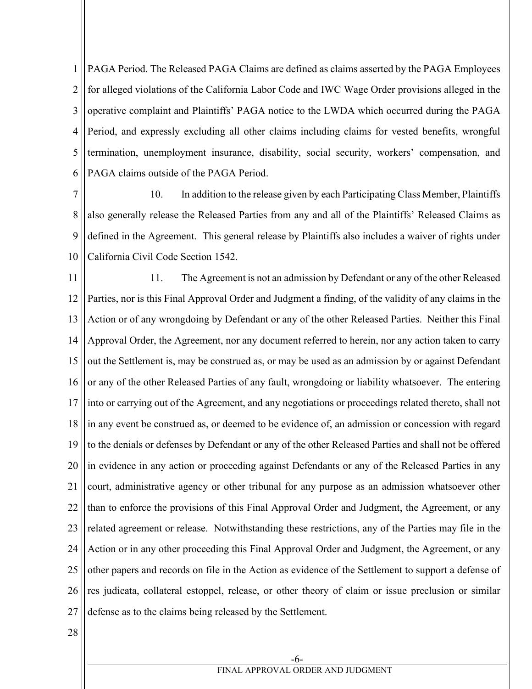1 2 3 4 5 6 PAGA Period. The Released PAGA Claims are defined as claims asserted by the PAGA Employees for alleged violations of the California Labor Code and IWC Wage Order provisions alleged in the operative complaint and Plaintiffs' PAGA notice to the LWDA which occurred during the PAGA Period, and expressly excluding all other claims including claims for vested benefits, wrongful termination, unemployment insurance, disability, social security, workers' compensation, and PAGA claims outside of the PAGA Period.

7 8 9 10 10. In addition to the release given by each Participating Class Member, Plaintiffs also generally release the Released Parties from any and all of the Plaintiffs' Released Claims as defined in the Agreement. This general release by Plaintiffs also includes a waiver of rights under California Civil Code Section 1542.

11 12 13 14 15 16 17 18 19 20 21 22 23 24 25 26 27 11. The Agreement is not an admission by Defendant or any of the other Released Parties, nor is this Final Approval Order and Judgment a finding, of the validity of any claims in the Action or of any wrongdoing by Defendant or any of the other Released Parties. Neither this Final Approval Order, the Agreement, nor any document referred to herein, nor any action taken to carry out the Settlement is, may be construed as, or may be used as an admission by or against Defendant or any of the other Released Parties of any fault, wrongdoing or liability whatsoever. The entering into or carrying out of the Agreement, and any negotiations or proceedings related thereto, shall not in any event be construed as, or deemed to be evidence of, an admission or concession with regard to the denials or defenses by Defendant or any of the other Released Parties and shall not be offered in evidence in any action or proceeding against Defendants or any of the Released Parties in any court, administrative agency or other tribunal for any purpose as an admission whatsoever other than to enforce the provisions of this Final Approval Order and Judgment, the Agreement, or any related agreement or release. Notwithstanding these restrictions, any of the Parties may file in the Action or in any other proceeding this Final Approval Order and Judgment, the Agreement, or any other papers and records on file in the Action as evidence of the Settlement to support a defense of res judicata, collateral estoppel, release, or other theory of claim or issue preclusion or similar defense as to the claims being released by the Settlement.

28

-6- FINAL APPROVAL ORDER AND JUDGMENT